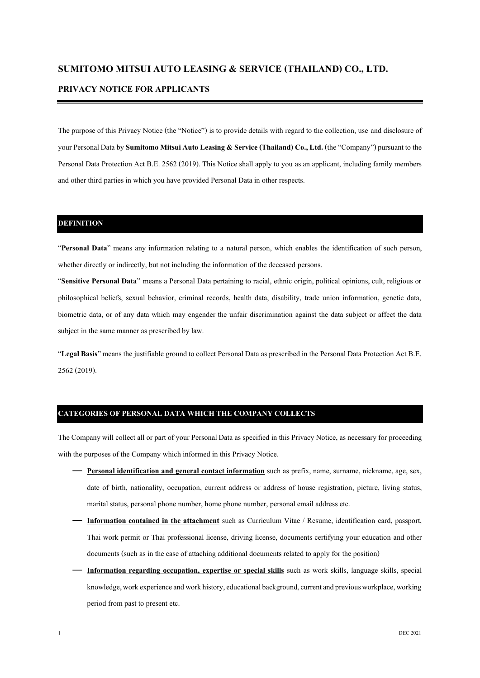# **SUMITOMO MITSUI AUTO LEASING & SERVICE (THAILAND) CO., LTD.**

### **PRIVACY NOTICE FOR APPLICANTS**

The purpose of this Privacy Notice (the "Notice") is to provide details with regard to the collection, use and disclosure of your Personal Data by **Sumitomo Mitsui Auto Leasing & Service (Thailand) Co., Ltd.** (the "Company") pursuant to the Personal Data Protection Act B.E. 2562 (2019). This Notice shall apply to you as an applicant, including family members and other third parties in which you have provided Personal Data in other respects.

### **DEFINITION**

"**Personal Data**" means any information relating to a natural person, which enables the identification of such person, whether directly or indirectly, but not including the information of the deceased persons.

"**Sensitive Personal Data**" means a Personal Data pertaining to racial, ethnic origin, political opinions, cult, religious or philosophical beliefs, sexual behavior, criminal records, health data, disability, trade union information, genetic data, biometric data, or of any data which may engender the unfair discrimination against the data subject or affect the data subject in the same manner as prescribed by law.

"**Legal Basis**" means the justifiable ground to collect Personal Data as prescribed in the Personal Data Protection Act B.E. 2562 (2019).

## **CATEGORIES OF PERSONAL DATA WHICH THE COMPANY COLLECTS**

The Company will collect all or part of your Personal Data as specified in this Privacy Notice, as necessary for proceeding with the purposes of the Company which informed in this Privacy Notice.

- **Personal identification and general contact information** such as prefix, name, surname, nickname, age, sex, date of birth, nationality, occupation, current address or address of house registration, picture, living status, marital status, personal phone number, home phone number, personal email address etc.
- **Information contained in the attachment** such as Curriculum Vitae / Resume, identification card, passport, Thai work permit or Thai professional license, driving license, documents certifying your education and other documents (such as in the case of attaching additional documents related to apply for the position)
- **Information regarding occupation, expertise or special skills** such as work skills, language skills, special knowledge, work experience and work history, educational background, current and previous workplace, working period from past to present etc.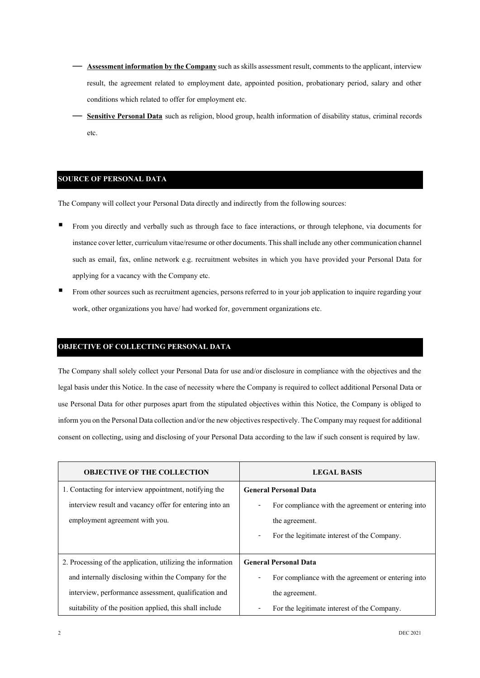- **Assessment information by the Company**such as skills assessment result, comments to the applicant, interview result, the agreement related to employment date, appointed position, probationary period, salary and other conditions which related to offer for employment etc.
- **Sensitive Personal Data** such as religion, blood group, health information of disability status, criminal records etc.

### **SOURCE OF PERSONAL DATA**

The Company will collect your Personal Data directly and indirectly from the following sources:

- From you directly and verbally such as through face to face interactions, or through telephone, via documents for instance cover letter, curriculum vitae/resume or other documents. This shall include any other communication channel such as email, fax, online network e.g. recruitment websites in which you have provided your Personal Data for applying for a vacancy with the Company etc.
- From other sources such as recruitment agencies, persons referred to in your job application to inquire regarding your work, other organizations you have/ had worked for, government organizations etc.

#### **OBJECTIVE OF COLLECTING PERSONAL DATA**

The Company shall solely collect your Personal Data for use and/or disclosure in compliance with the objectives and the legal basis under this Notice. In the case of necessity where the Company is required to collect additional Personal Data or use Personal Data for other purposes apart from the stipulated objectives within this Notice, the Company is obliged to inform you on the Personal Data collection and/or the new objectives respectively. The Company may request for additional consent on collecting, using and disclosing of your Personal Data according to the law if such consent is required by law.

| <b>OBJECTIVE OF THE COLLECTION</b>                          | <b>LEGAL BASIS</b>                                 |
|-------------------------------------------------------------|----------------------------------------------------|
| 1. Contacting for interview appointment, notifying the      | <b>General Personal Data</b>                       |
| interview result and vacancy offer for entering into an     | For compliance with the agreement or entering into |
| employment agreement with you.                              | the agreement.                                     |
|                                                             | For the legitimate interest of the Company.        |
|                                                             |                                                    |
| 2. Processing of the application, utilizing the information | <b>General Personal Data</b>                       |
| and internally disclosing within the Company for the        | For compliance with the agreement or entering into |
| interview, performance assessment, qualification and        | the agreement.                                     |
| suitability of the position applied, this shall include     | For the legitimate interest of the Company.        |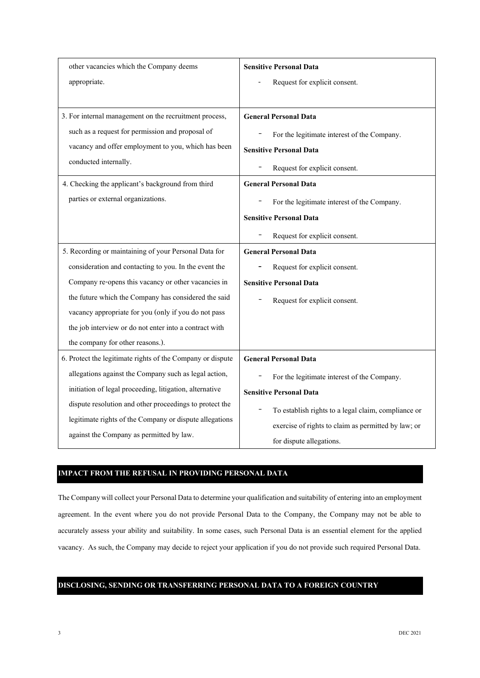| other vacancies which the Company deems                    | <b>Sensitive Personal Data</b>                      |
|------------------------------------------------------------|-----------------------------------------------------|
| appropriate.                                               | Request for explicit consent.                       |
|                                                            |                                                     |
| 3. For internal management on the recruitment process,     | <b>General Personal Data</b>                        |
| such as a request for permission and proposal of           | For the legitimate interest of the Company.         |
| vacancy and offer employment to you, which has been        | <b>Sensitive Personal Data</b>                      |
| conducted internally.                                      | Request for explicit consent.                       |
| 4. Checking the applicant's background from third          | <b>General Personal Data</b>                        |
| parties or external organizations.                         | For the legitimate interest of the Company.         |
|                                                            | <b>Sensitive Personal Data</b>                      |
|                                                            | Request for explicit consent.                       |
| 5. Recording or maintaining of your Personal Data for      | <b>General Personal Data</b>                        |
| consideration and contacting to you. In the event the      | Request for explicit consent.                       |
| Company re-opens this vacancy or other vacancies in        | <b>Sensitive Personal Data</b>                      |
| the future which the Company has considered the said       | Request for explicit consent.                       |
| vacancy appropriate for you (only if you do not pass       |                                                     |
| the job interview or do not enter into a contract with     |                                                     |
| the company for other reasons.).                           |                                                     |
| 6. Protect the legitimate rights of the Company or dispute | <b>General Personal Data</b>                        |
| allegations against the Company such as legal action,      | For the legitimate interest of the Company.         |
| initiation of legal proceeding, litigation, alternative    | <b>Sensitive Personal Data</b>                      |
| dispute resolution and other proceedings to protect the    | To establish rights to a legal claim, compliance or |
| legitimate rights of the Company or dispute allegations    | exercise of rights to claim as permitted by law; or |
| against the Company as permitted by law.                   | for dispute allegations.                            |

### **IMPACT FROM THE REFUSAL IN PROVIDING PERSONAL DATA**

The Company will collect your Personal Data to determine your qualification and suitability of entering into an employment agreement. In the event where you do not provide Personal Data to the Company, the Company may not be able to accurately assess your ability and suitability. In some cases, such Personal Data is an essential element for the applied vacancy. As such, the Company may decide to reject your application if you do not provide such required Personal Data.

## **DISCLOSING, SENDING OR TRANSFERRING PERSONAL DATA TO A FOREIGN COUNTRY**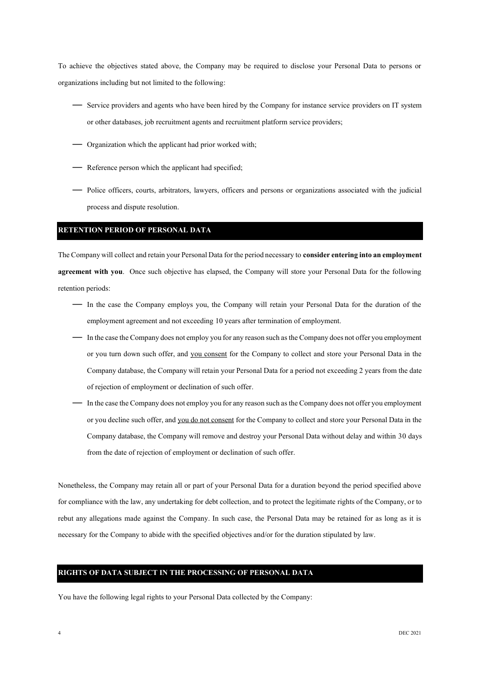To achieve the objectives stated above, the Company may be required to disclose your Personal Data to persons or organizations including but not limited to the following:

- Service providers and agents who have been hired by the Company for instance service providers on IT system or other databases, job recruitment agents and recruitment platform service providers;
- Organization which the applicant had prior worked with;
- Reference person which the applicant had specified;
- Police officers, courts, arbitrators, lawyers, officers and persons or organizations associated with the judicial process and dispute resolution.

#### **RETENTION PERIOD OF PERSONAL DATA**

The Company will collect and retain your Personal Data for the period necessary to **consider entering into an employment agreement with you**. Once such objective has elapsed, the Company will store your Personal Data for the following retention periods:

- In the case the Company employs you, the Company will retain your Personal Data for the duration of the employment agreement and not exceeding 10 years after termination of employment.
- In the case the Company does not employ you for any reason such as the Company does not offer you employment or you turn down such offer, and you consent for the Company to collect and store your Personal Data in the Company database, the Company will retain your Personal Data for a period not exceeding 2 years from the date of rejection of employment or declination of such offer.
- In the case the Company does not employ you for any reason such as the Company does not offer you employment or you decline such offer, and you do not consent for the Company to collect and store your Personal Data in the Company database, the Company will remove and destroy your Personal Data without delay and within 30 days from the date of rejection of employment or declination of such offer.

Nonetheless, the Company may retain all or part of your Personal Data for a duration beyond the period specified above for compliance with the law, any undertaking for debt collection, and to protect the legitimate rights of the Company, or to rebut any allegations made against the Company. In such case, the Personal Data may be retained for as long as it is necessary for the Company to abide with the specified objectives and/or for the duration stipulated by law.

### **RIGHTS OF DATA SUBJECT IN THE PROCESSING OF PERSONAL DATA**

You have the following legal rights to your Personal Data collected by the Company: